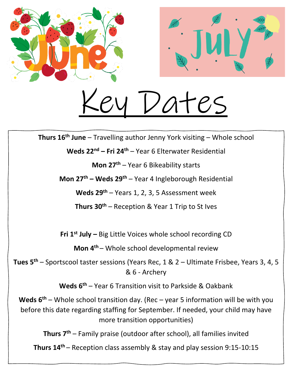

Dates

**Thurs 16th June** – Travelling author Jenny York visiting – Whole school

**Weds 22nd – Fri 24th** – Year 6 Elterwater Residential

**Mon 27th** – Year 6 Bikeability starts

**Mon 27th – Weds 29th** – Year 4 Ingleborough Residential

**Weds 29th** – Years 1, 2, 3, 5 Assessment week

**Thurs 30th** – Reception & Year 1 Trip to St Ives

**Fri 1 st July –** Big Little Voices whole school recording CD

**Mon 4th** – Whole school developmental review

**Tues 5th** – Sportscool taster sessions (Years Rec, 1 & 2 – Ultimate Frisbee, Years 3, 4, 5 & 6 - Archery

**Weds 6th** – Year 6 Transition visit to Parkside & Oakbank

**Weds 6th** – Whole school transition day. (Rec – year 5 information will be with you before this date regarding staffing for September. If needed, your child may have more transition opportunities)

**Thurs 7th** – Family praise (outdoor after school), all families invited

**Thurs 14th** – Reception class assembly & stay and play session 9:15-10:15